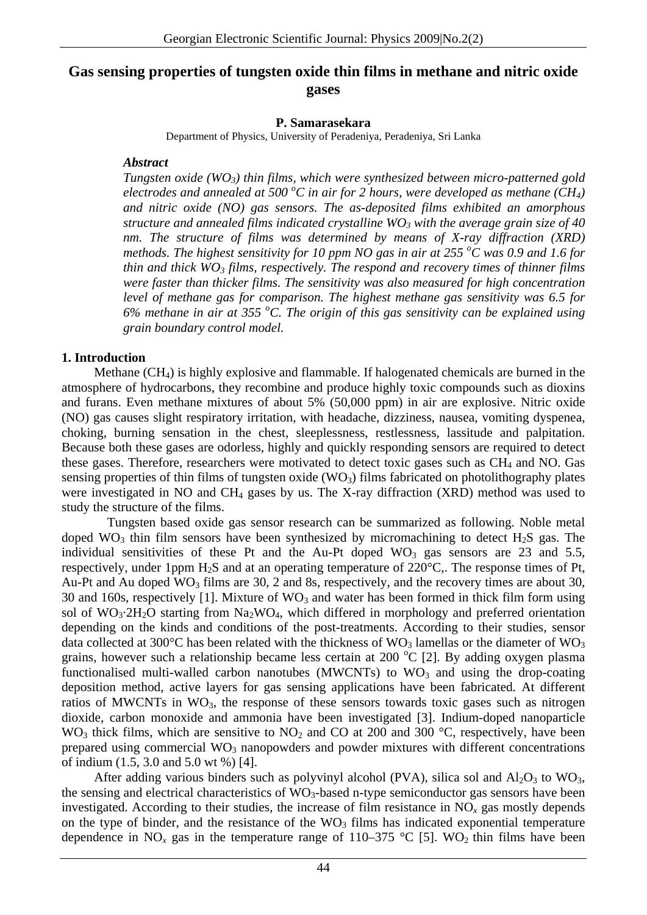## **Gas sensing properties of tungsten oxide thin films in methane and nitric oxide gases**

#### **P. Samarasekara**

Department of Physics, University of Peradeniya, Peradeniya, Sri Lanka

#### *Abstract*

*Tungsten oxide* (WO<sub>3</sub>) thin films, which were synthesized between micro-patterned gold *electrodes and annealed at 500 °C in air for 2 hours, were developed as methane (CH<sub>4</sub>) and nitric oxide (NO) gas sensors. The as-deposited films exhibited an amorphous structure and annealed films indicated crystalline*  $WO_3$  *with the average grain size of 40 nm. The structure of films was determined by means of X-ray diffraction (XRD) methods. The highest sensitivity for 10 ppm NO gas in air at 255 <sup>o</sup> C was 0.9 and 1.6 for thin and thick*  $WO_3$  *films, respectively. The respond and recovery times of thinner films were faster than thicker films. The sensitivity was also measured for high concentration level of methane gas for comparison. The highest methane gas sensitivity was 6.5 for 6% methane in air at 355 <sup>o</sup> C. The origin of this gas sensitivity can be explained using grain boundary control model.* 

#### **1. Introduction**

Methane  $(CH_4)$  is highly explosive and flammable. If halogenated chemicals are burned in the atmosphere of hydrocarbons, they recombine and produce highly toxic compounds such as dioxins and furans. Even methane mixtures of about 5% (50,000 ppm) in air are explosive. Nitric oxide (NO) gas causes slight respiratory irritation, with headache, dizziness, nausea, vomiting dyspenea, choking, burning sensation in the chest, sleeplessness, restlessness, lassitude and palpitation. Because both these gases are odorless, highly and quickly responding sensors are required to detect these gases. Therefore, researchers were motivated to detect toxic gases such as CH<sub>4</sub> and NO. Gas sensing properties of thin films of tungsten oxide  $(WO_3)$  films fabricated on photolithography plates were investigated in NO and CH4 gases by us. The X-ray diffraction (XRD) method was used to study the structure of the films.

Tungsten based oxide gas sensor research can be summarized as following. Noble metal doped WO<sub>3</sub> thin film sensors have been synthesized by micromachining to detect H<sub>2</sub>S gas. The individual sensitivities of these Pt and the Au-Pt doped  $WO_3$  gas sensors are 23 and 5.5, respectively, under 1ppm H2S and at an operating temperature of 220°C,. The response times of Pt, Au-Pt and Au doped  $WO_3$  films are 30, 2 and 8s, respectively, and the recovery times are about 30, 30 and 160s, respectively [1]. Mixture of  $WO_3$  and water has been formed in thick film form using sol of WO<sub>3</sub>·2H<sub>2</sub>O starting from Na<sub>2</sub>WO<sub>4</sub>, which differed in morphology and preferred orientation depending on the kinds and conditions of the post-treatments. According to their studies, sensor data collected at 300 $^{\circ}$ C has been related with the thickness of WO<sub>3</sub> lamellas or the diameter of WO<sub>3</sub> grains, however such a relationship became less certain at 200  $^{\circ}$ C [2]. By adding oxygen plasma functionalised multi-walled carbon nanotubes (MWCNTs) to  $WO_3$  and using the drop-coating deposition method, active layers for gas sensing applications have been fabricated. At different ratios of MWCNTs in  $WO_3$ , the response of these sensors towards toxic gases such as nitrogen dioxide, carbon monoxide and ammonia have been investigated [3]. Indium-doped nanoparticle WO<sub>3</sub> thick films, which are sensitive to  $NO_2$  and CO at 200 and 300 °C, respectively, have been prepared using commercial  $WO_3$  nanopowders and powder mixtures with different concentrations of indium (1.5, 3.0 and 5.0 wt %) [4].

After adding various binders such as polyvinyl alcohol (PVA), silica sol and  $Al_2O_3$  to WO<sub>3</sub>, the sensing and electrical characteristics of  $WO_3$ -based n-type semiconductor gas sensors have been investigated. According to their studies, the increase of film resistance in  $NO<sub>x</sub>$  gas mostly depends on the type of binder, and the resistance of the  $WO<sub>3</sub>$  films has indicated exponential temperature dependence in NO<sub>x</sub> gas in the temperature range of 110–375 °C [5]. WO<sub>2</sub> thin films have been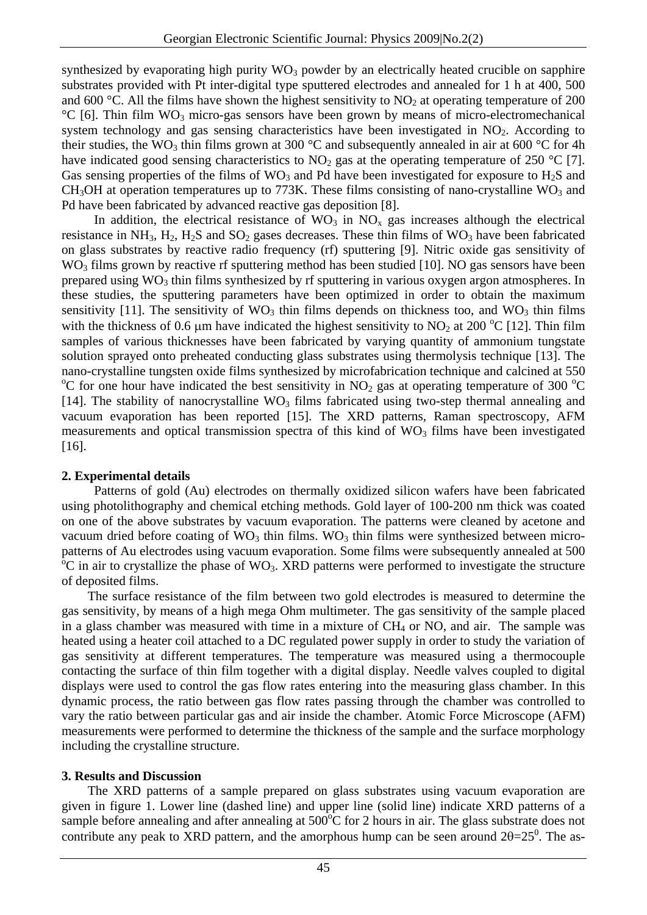synthesized by evaporating high purity  $WO_3$  powder by an electrically heated crucible on sapphire substrates provided with Pt inter-digital type sputtered electrodes and annealed for 1 h at 400, 500 and 600 °C. All the films have shown the highest sensitivity to  $NO<sub>2</sub>$  at operating temperature of 200  $\degree$ C [6]. Thin film WO<sub>3</sub> micro-gas sensors have been grown by means of micro-electromechanical system technology and gas sensing characteristics have been investigated in  $NO<sub>2</sub>$ . According to their studies, the WO<sub>3</sub> thin films grown at 300 °C and subsequently annealed in air at 600 °C for 4h have indicated good sensing characteristics to  $NO<sub>2</sub>$  gas at the operating temperature of 250 °C [7]. Gas sensing properties of the films of  $WO_3$  and Pd have been investigated for exposure to  $H_2S$  and  $CH<sub>3</sub>OH$  at operation temperatures up to 773K. These films consisting of nano-crystalline WO<sub>3</sub> and Pd have been fabricated by advanced reactive gas deposition [8].

In addition, the electrical resistance of  $WO_3$  in  $NO_x$  gas increases although the electrical resistance in NH<sub>3</sub>, H<sub>2</sub>, H<sub>2</sub>S and SO<sub>2</sub> gases decreases. These thin films of WO<sub>3</sub> have been fabricated on glass substrates by reactive radio frequency (rf) sputtering [9]. Nitric oxide gas sensitivity of  $WO<sub>3</sub> films grown by reactive rf sputtering method has been studied [10]. NO gas sensors have been$ prepared using  $WO_3$  thin films synthesized by rf sputtering in various oxygen argon atmospheres. In these studies, the sputtering parameters have been optimized in order to obtain the maximum sensitivity [11]. The sensitivity of  $WO_3$  thin films depends on thickness too, and  $WO_3$  thin films with the thickness of 0.6  $\mu$ m have indicated the highest sensitivity to NO<sub>2</sub> at 200 °C [12]. Thin film samples of various thicknesses have been fabricated by varying quantity of ammonium tungstate solution sprayed onto preheated conducting glass substrates using thermolysis technique [13]. The nano-crystalline tungsten oxide films synthesized by microfabrication technique and calcined at 550 <sup>o</sup>C for one hour have indicated the best sensitivity in NO<sub>2</sub> gas at operating temperature of 300 <sup>o</sup>C [14]. The stability of nanocrystalline  $WO_3$  films fabricated using two-step thermal annealing and vacuum evaporation has been reported [15]. The XRD patterns, Raman spectroscopy, AFM measurements and optical transmission spectra of this kind of  $WO<sub>3</sub>$  films have been investigated [16].

#### **2. Experimental details**

Patterns of gold (Au) electrodes on thermally oxidized silicon wafers have been fabricated using photolithography and chemical etching methods. Gold layer of 100-200 nm thick was coated on one of the above substrates by vacuum evaporation. The patterns were cleaned by acetone and vacuum dried before coating of  $WO_3$  thin films.  $WO_3$  thin films were synthesized between micropatterns of Au electrodes using vacuum evaporation. Some films were subsequently annealed at 500  $\rm{^{\circ}C}$  in air to crystallize the phase of WO<sub>3</sub>. XRD patterns were performed to investigate the structure of deposited films.

The surface resistance of the film between two gold electrodes is measured to determine the gas sensitivity, by means of a high mega Ohm multimeter. The gas sensitivity of the sample placed in a glass chamber was measured with time in a mixture of  $CH_4$  or NO, and air. The sample was heated using a heater coil attached to a DC regulated power supply in order to study the variation of gas sensitivity at different temperatures. The temperature was measured using a thermocouple contacting the surface of thin film together with a digital display. Needle valves coupled to digital displays were used to control the gas flow rates entering into the measuring glass chamber. In this dynamic process, the ratio between gas flow rates passing through the chamber was controlled to vary the ratio between particular gas and air inside the chamber. Atomic Force Microscope (AFM) measurements were performed to determine the thickness of the sample and the surface morphology including the crystalline structure.

## **3. Results and Discussion**

The XRD patterns of a sample prepared on glass substrates using vacuum evaporation are given in figure 1. Lower line (dashed line) and upper line (solid line) indicate XRD patterns of a sample before annealing and after annealing at  $500^{\circ}$ C for 2 hours in air. The glass substrate does not contribute any peak to XRD pattern, and the amorphous hump can be seen around  $2\theta = 25^{\circ}$ . The as-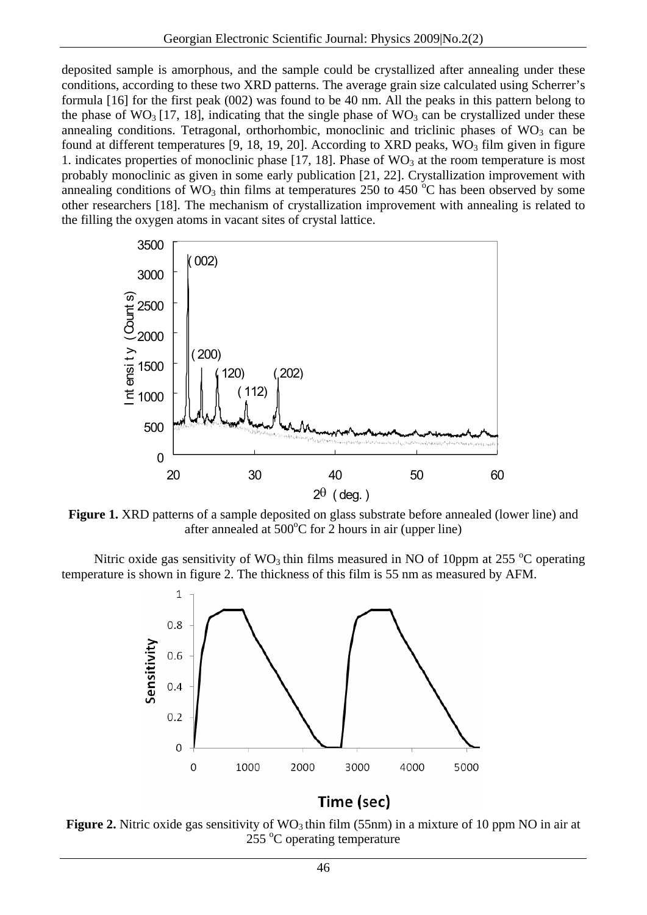deposited sample is amorphous, and the sample could be crystallized after annealing under these conditions, according to these two XRD patterns. The average grain size calculated using Scherrer's formula [16] for the first peak (002) was found to be 40 nm. All the peaks in this pattern belong to the phase of WO<sub>3</sub> [17, 18], indicating that the single phase of WO<sub>3</sub> can be crystallized under these annealing conditions. Tetragonal, orthorhombic, monoclinic and triclinic phases of  $WO_3$  can be found at different temperatures [9, 18, 19, 20]. According to XRD peaks,  $WO_3$  film given in figure 1. indicates properties of monoclinic phase  $[17, 18]$ . Phase of  $WO<sub>3</sub>$  at the room temperature is most probably monoclinic as given in some early publication [21, 22]. Crystallization improvement with annealing conditions of  $WO_3$  thin films at temperatures 250 to 450  $\degree$ C has been observed by some other researchers [18]. The mechanism of crystallization improvement with annealing is related to the filling the oxygen atoms in vacant sites of crystal lattice.



**Figure 1.** XRD patterns of a sample deposited on glass substrate before annealed (lower line) and after annealed at  $500^{\circ}$ C for 2 hours in air (upper line)

Nitric oxide gas sensitivity of  $WO_3$  thin films measured in NO of 10ppm at 255 °C operating temperature is shown in figure 2. The thickness of this film is 55 nm as measured by AFM.



# Time (sec)

**Figure 2.** Nitric oxide gas sensitivity of  $WO_3$  thin film (55nm) in a mixture of 10 ppm NO in air at  $255^{\circ}$ C operating temperature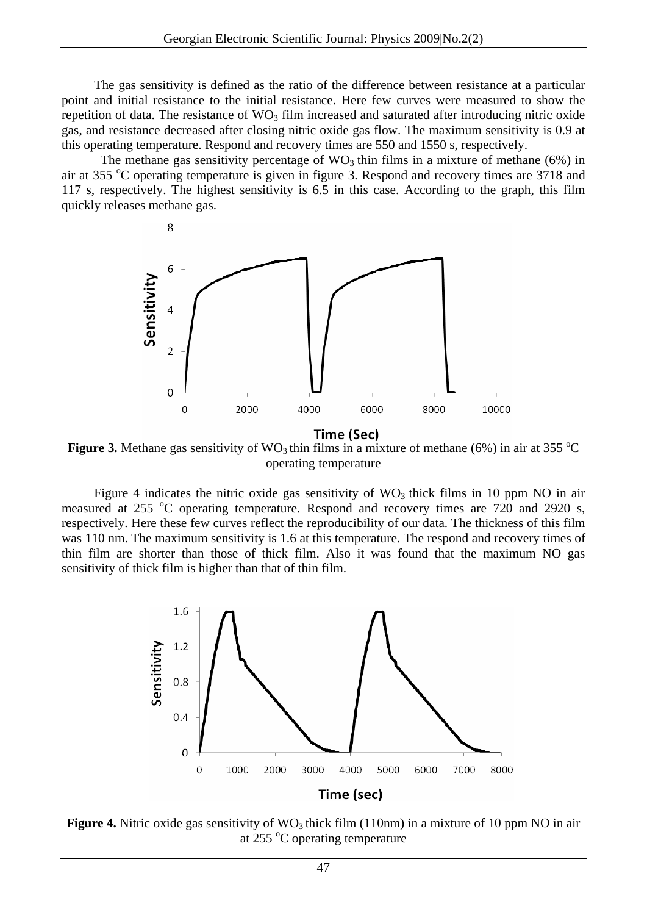The gas sensitivity is defined as the ratio of the difference between resistance at a particular point and initial resistance to the initial resistance. Here few curves were measured to show the repetition of data. The resistance of  $WO_3$  film increased and saturated after introducing nitric oxide gas, and resistance decreased after closing nitric oxide gas flow. The maximum sensitivity is 0.9 at this operating temperature. Respond and recovery times are 550 and 1550 s, respectively.

The methane gas sensitivity percentage of  $WO_3$  thin films in a mixture of methane (6%) in air at 355 °C operating temperature is given in figure 3. Respond and recovery times are 3718 and 117 s, respectively. The highest sensitivity is 6.5 in this case. According to the graph, this film quickly releases methane gas.



Time (Sec)

**Figure 3.** Methane gas sensitivity of  $WO_3$  thin films in a mixture of methane (6%) in air at 355 °C operating temperature

Figure 4 indicates the nitric oxide gas sensitivity of  $WO_3$  thick films in 10 ppm NO in air measured at 255 °C operating temperature. Respond and recovery times are 720 and 2920 s, respectively. Here these few curves reflect the reproducibility of our data. The thickness of this film was 110 nm. The maximum sensitivity is 1.6 at this temperature. The respond and recovery times of thin film are shorter than those of thick film. Also it was found that the maximum NO gas sensitivity of thick film is higher than that of thin film.



**Figure 4.** Nitric oxide gas sensitivity of  $WO_3$  thick film (110nm) in a mixture of 10 ppm NO in air at 255 °C operating temperature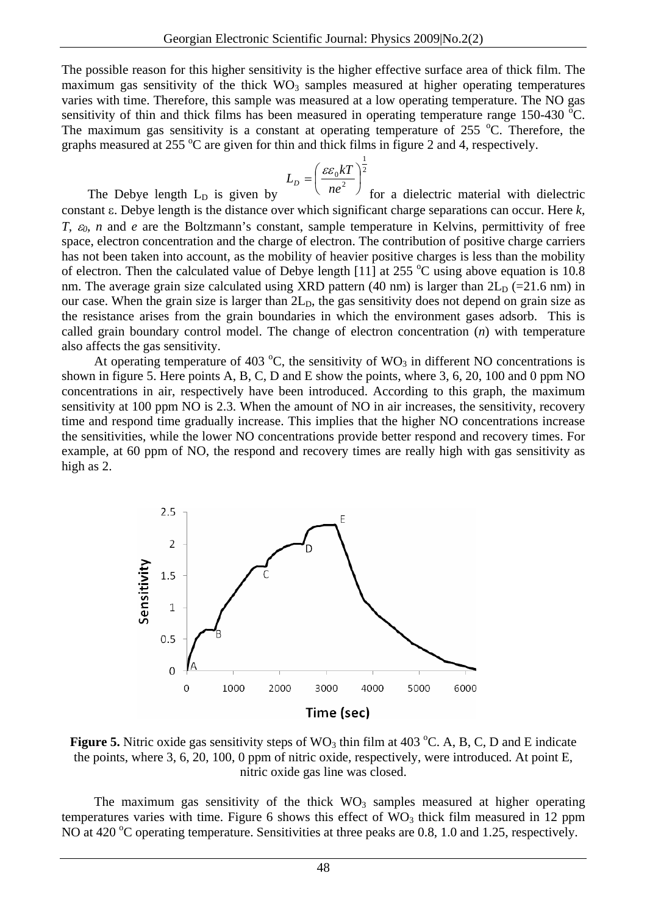The possible reason for this higher sensitivity is the higher effective surface area of thick film. The maximum gas sensitivity of the thick  $WO_3$  samples measured at higher operating temperatures varies with time. Therefore, this sample was measured at a low operating temperature. The NO gas sensitivity of thin and thick films has been measured in operating temperature range 150-430  $^{\circ}$ C. The maximum gas sensitivity is a constant at operating temperature of 255  $^{\circ}$ C. Therefore, the graphs measured at 255  $\mathrm{^{\circ}C}$  are given for thin and thick films in figure 2 and 4, respectively.

$$
L_D = \left(\frac{\varepsilon \varepsilon_0 kT}{n e^2}\right)^{\frac{1}{2}}
$$

The Debye length  $L<sub>D</sub>$  is given by ⎠ for a dielectric material with dielectric constant ε. Debye length is the distance over which significant charge separations can occur. Here *k, T,* ε*0, n* and *e* are the Boltzmann's constant, sample temperature in Kelvins, permittivity of free space, electron concentration and the charge of electron. The contribution of positive charge carriers has not been taken into account, as the mobility of heavier positive charges is less than the mobility of electron. Then the calculated value of Debye length [11] at 255  $\degree$ C using above equation is 10.8 nm. The average grain size calculated using XRD pattern (40 nm) is larger than  $2L_D$  (=21.6 nm) in our case. When the grain size is larger than  $2L<sub>D</sub>$ , the gas sensitivity does not depend on grain size as the resistance arises from the grain boundaries in which the environment gases adsorb. This is called grain boundary control model. The change of electron concentration (*n*) with temperature also affects the gas sensitivity.

At operating temperature of 403  $^{\circ}$ C, the sensitivity of WO<sub>3</sub> in different NO concentrations is shown in figure 5. Here points A, B, C, D and E show the points, where 3, 6, 20, 100 and 0 ppm NO concentrations in air, respectively have been introduced. According to this graph, the maximum sensitivity at 100 ppm NO is 2.3. When the amount of NO in air increases, the sensitivity, recovery time and respond time gradually increase. This implies that the higher NO concentrations increase the sensitivities, while the lower NO concentrations provide better respond and recovery times. For example, at 60 ppm of NO, the respond and recovery times are really high with gas sensitivity as high as 2.



**Figure 5.** Nitric oxide gas sensitivity steps of  $WO_3$  thin film at 403 °C. A, B, C, D and E indicate the points, where 3, 6, 20, 100, 0 ppm of nitric oxide, respectively, were introduced. At point E, nitric oxide gas line was closed.

The maximum gas sensitivity of the thick  $WO<sub>3</sub>$  samples measured at higher operating temperatures varies with time. Figure 6 shows this effect of  $WO<sub>3</sub>$  thick film measured in 12 ppm NO at 420 °C operating temperature. Sensitivities at three peaks are 0.8, 1.0 and 1.25, respectively.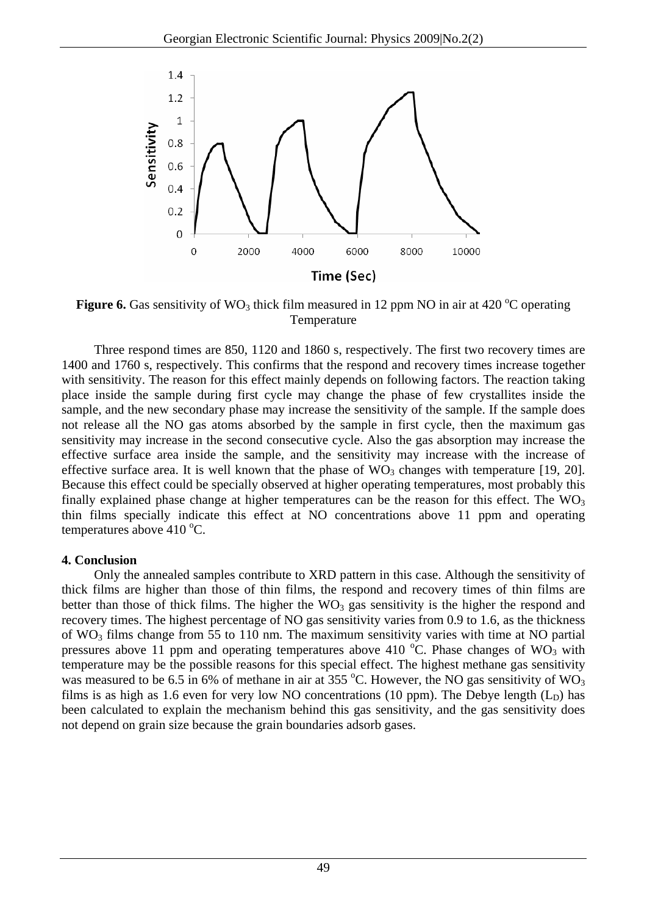

**Figure 6.** Gas sensitivity of  $WO_3$  thick film measured in 12 ppm NO in air at 420  $^{\circ}C$  operating Temperature

Three respond times are 850, 1120 and 1860 s, respectively. The first two recovery times are 1400 and 1760 s, respectively. This confirms that the respond and recovery times increase together with sensitivity. The reason for this effect mainly depends on following factors. The reaction taking place inside the sample during first cycle may change the phase of few crystallites inside the sample, and the new secondary phase may increase the sensitivity of the sample. If the sample does not release all the NO gas atoms absorbed by the sample in first cycle, then the maximum gas sensitivity may increase in the second consecutive cycle. Also the gas absorption may increase the effective surface area inside the sample, and the sensitivity may increase with the increase of effective surface area. It is well known that the phase of  $WO_3$  changes with temperature [19, 20]. Because this effect could be specially observed at higher operating temperatures, most probably this finally explained phase change at higher temperatures can be the reason for this effect. The  $WO_3$ thin films specially indicate this effect at NO concentrations above 11 ppm and operating temperatures above  $410^{\circ}$ C.

## **4. Conclusion**

Only the annealed samples contribute to XRD pattern in this case. Although the sensitivity of thick films are higher than those of thin films, the respond and recovery times of thin films are better than those of thick films. The higher the  $WO<sub>3</sub>$  gas sensitivity is the higher the respond and recovery times. The highest percentage of NO gas sensitivity varies from 0.9 to 1.6, as the thickness of  $WO_3$  films change from 55 to 110 nm. The maximum sensitivity varies with time at NO partial pressures above 11 ppm and operating temperatures above 410  $\degree$ C. Phase changes of WO<sub>3</sub> with temperature may be the possible reasons for this special effect. The highest methane gas sensitivity was measured to be 6.5 in 6% of methane in air at 355 °C. However, the NO gas sensitivity of WO<sub>3</sub> films is as high as 1.6 even for very low NO concentrations (10 ppm). The Debye length  $(L_D)$  has been calculated to explain the mechanism behind this gas sensitivity, and the gas sensitivity does not depend on grain size because the grain boundaries adsorb gases.